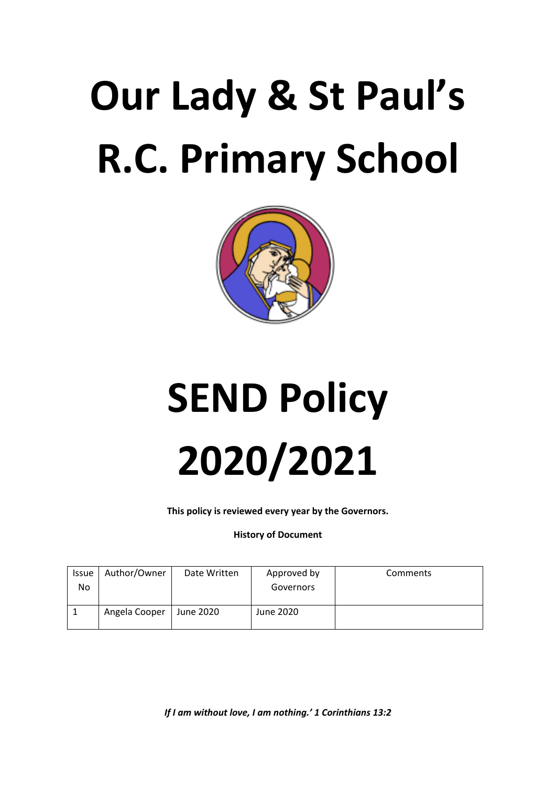# **Our Lady & St Paul's R.C. Primary School**



# **SEND Policy 2020/2021**

**This policy is reviewed every year by the Governors.**

# **History of Document**

| Issue<br>No | Author/Owner  | Date Written | Approved by<br>Governors | Comments |
|-------------|---------------|--------------|--------------------------|----------|
|             | Angela Cooper | June 2020    | June 2020                |          |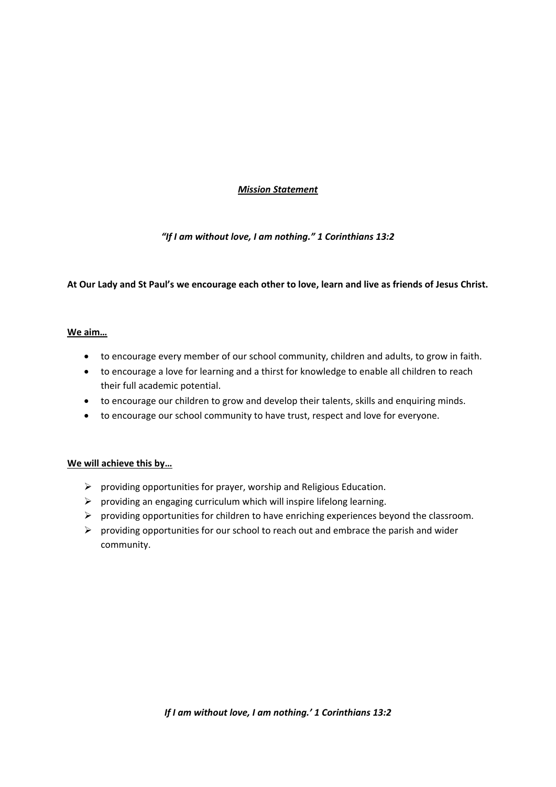# *Mission Statement*

# *"If I am without love, I am nothing." 1 Corinthians 13:2*

# **At Our Lady and St Paul's we encourage each other to love, learn and live as friends of Jesus Christ.**

# **We aim…**

- to encourage every member of our school community, children and adults, to grow in faith.
- to encourage a love for learning and a thirst for knowledge to enable all children to reach their full academic potential.
- to encourage our children to grow and develop their talents, skills and enquiring minds.
- to encourage our school community to have trust, respect and love for everyone.

# **We will achieve this by…**

- $\triangleright$  providing opportunities for prayer, worship and Religious Education.
- $\triangleright$  providing an engaging curriculum which will inspire lifelong learning.
- $\triangleright$  providing opportunities for children to have enriching experiences beyond the classroom.
- $\triangleright$  providing opportunities for our school to reach out and embrace the parish and wider community.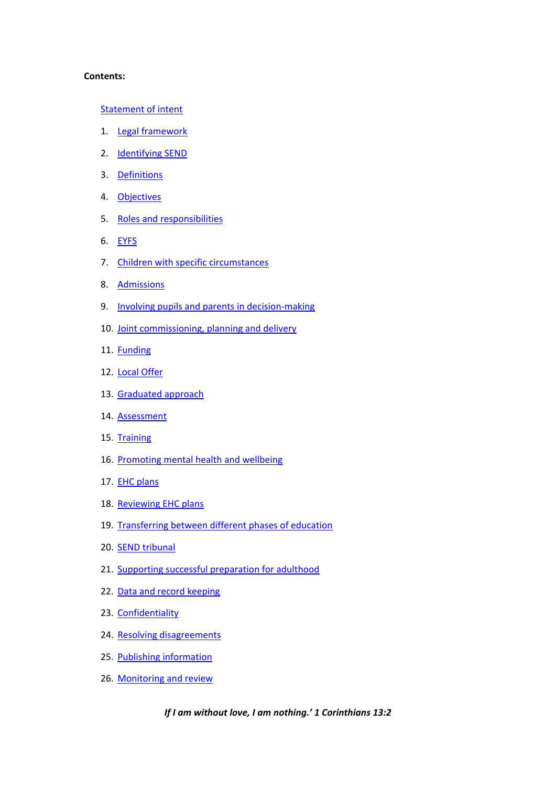### **Contents:**

# [Statement of intent](#page-3-0)

- 1. [Legal framework](#page-4-0)
- 2. [Identifying SEND](#page-5-0)
- 3. [Definitions](#page-5-1)
- 4. [Objectives](#page-7-0)
- 5. Roles and responsibilities
- 6. [EYFS](#page-11-0)
- 7. [Children with specific circumstances](#page-11-1)
- 8. [Admissions](#page-12-0)
- 9. [Involving pupils and parents in decision-making](#page-13-0)
- 10. [Joint commissioning, planning and delivery](#page-13-1)
- 11. [Funding](#page-14-0)
- 12. [Local Offer](#page-14-1)
- 13. [Graduated approach](#page-15-0)
- 14. [Assessment](#page-15-1)
- 15. [Training](#page-16-0)
- 16. [Promoting mental health and wellbeing](#page-17-0)
- 17. [EHC plans](#page-17-1)
- 18. [Reviewing EHC plans](#page-19-0)
- 19. [Transferring between different phases of education](#page-19-1)
- 20. [SEND tribunal](#page-20-0)
- 21. [Supporting successful preparation for adulthood](#page-20-1)
- 22. [Data and record keeping](#page-21-0)
- 23. [Confidentiality](#page-21-1)
- 24. [Resolving disagreements](#page-22-0)
- 25. [Publishing information](#page-22-1)
- 26. [Monitoring and review](#page-22-2)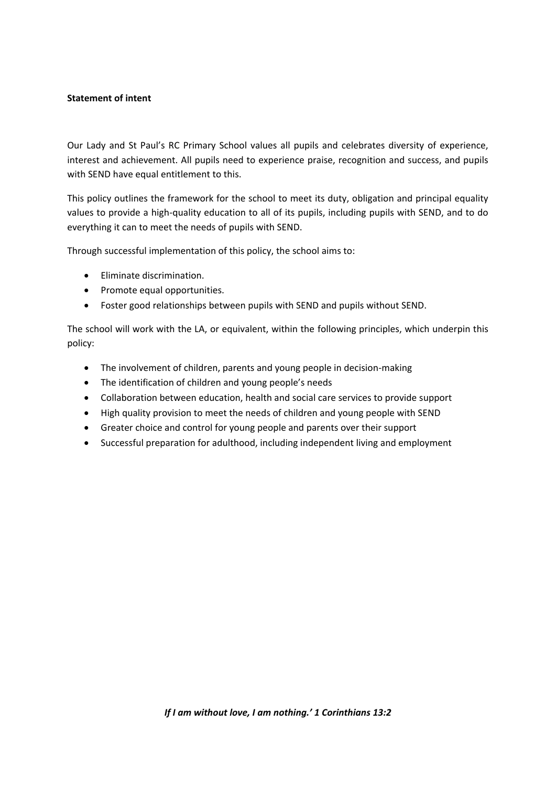# <span id="page-3-0"></span>**Statement of intent**

Our Lady and St Paul's RC Primary School values all pupils and celebrates diversity of experience, interest and achievement. All pupils need to experience praise, recognition and success, and pupils with SEND have equal entitlement to this.

This policy outlines the framework for the school to meet its duty, obligation and principal equality values to provide a high-quality education to all of its pupils, including pupils with SEND, and to do everything it can to meet the needs of pupils with SEND.

Through successful implementation of this policy, the school aims to:

- Eliminate discrimination.
- Promote equal opportunities.
- Foster good relationships between pupils with SEND and pupils without SEND.

The school will work with the LA, or equivalent, within the following principles, which underpin this policy:

- The involvement of children, parents and young people in decision-making
- The identification of children and young people's needs
- Collaboration between education, health and social care services to provide support
- High quality provision to meet the needs of children and young people with SEND
- Greater choice and control for young people and parents over their support
- Successful preparation for adulthood, including independent living and employment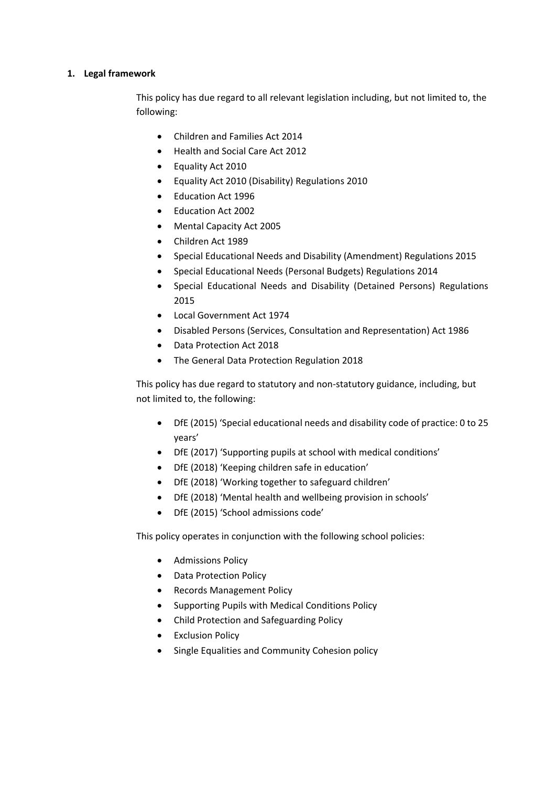# <span id="page-4-0"></span>**1. Legal framework**

This policy has due regard to all relevant legislation including, but not limited to, the following:

- Children and Families Act 2014
- Health and Social Care Act 2012
- Equality Act 2010
- Equality Act 2010 (Disability) Regulations 2010
- Education Act 1996
- Education Act 2002
- Mental Capacity Act 2005
- Children Act 1989
- Special Educational Needs and Disability (Amendment) Regulations 2015
- Special Educational Needs (Personal Budgets) Regulations 2014
- Special Educational Needs and Disability (Detained Persons) Regulations 2015
- Local Government Act 1974
- Disabled Persons (Services, Consultation and Representation) Act 1986
- Data Protection Act 2018
- The General Data Protection Regulation 2018

This policy has due regard to statutory and non-statutory guidance, including, but not limited to, the following:

- DfE (2015) 'Special educational needs and disability code of practice: 0 to 25 years'
- DfE (2017) 'Supporting pupils at school with medical conditions'
- DfE (2018) 'Keeping children safe in education'
- DfE (2018) 'Working together to safeguard children'
- DfE (2018) 'Mental health and wellbeing provision in schools'
- DfE (2015) 'School admissions code'

This policy operates in conjunction with the following school policies:

- **•** Admissions Policy
- Data Protection Policy
- Records Management Policy
- Supporting Pupils with Medical Conditions Policy
- Child Protection and Safeguarding Policy
- Exclusion Policy
- Single Equalities and Community Cohesion policy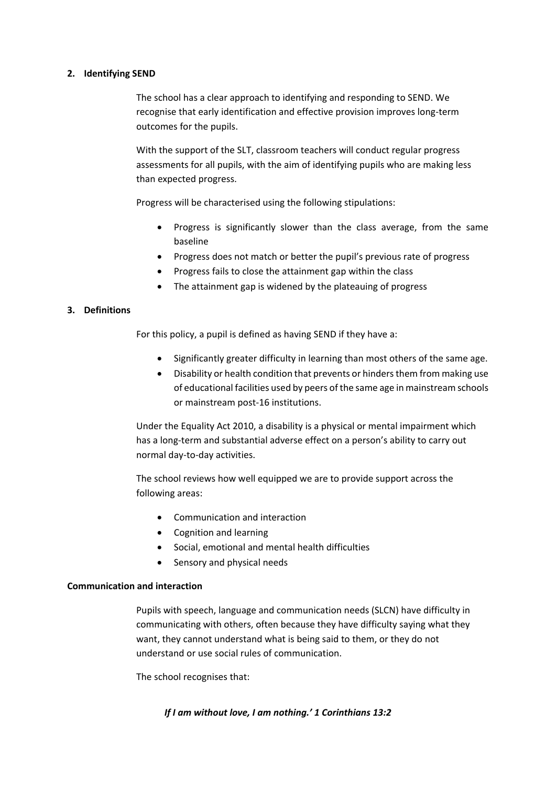# <span id="page-5-0"></span>**2. Identifying SEND**

The school has a clear approach to identifying and responding to SEND. We recognise that early identification and effective provision improves long-term outcomes for the pupils.

With the support of the SLT, classroom teachers will conduct regular progress assessments for all pupils, with the aim of identifying pupils who are making less than expected progress.

Progress will be characterised using the following stipulations:

- Progress is significantly slower than the class average, from the same baseline
- Progress does not match or better the pupil's previous rate of progress
- Progress fails to close the attainment gap within the class
- The attainment gap is widened by the plateauing of progress

# <span id="page-5-1"></span>**3. Definitions**

For this policy, a pupil is defined as having SEND if they have a:

- Significantly greater difficulty in learning than most others of the same age.
- Disability or health condition that prevents or hinders them from making use of educational facilities used by peers of the same age in mainstream schools or mainstream post-16 institutions.

Under the Equality Act 2010, a disability is a physical or mental impairment which has a long-term and substantial adverse effect on a person's ability to carry out normal day-to-day activities.

The school reviews how well equipped we are to provide support across the following areas:

- Communication and interaction
- Cognition and learning
- Social, emotional and mental health difficulties
- Sensory and physical needs

# **Communication and interaction**

Pupils with speech, language and communication needs (SLCN) have difficulty in communicating with others, often because they have difficulty saying what they want, they cannot understand what is being said to them, or they do not understand or use social rules of communication.

The school recognises that: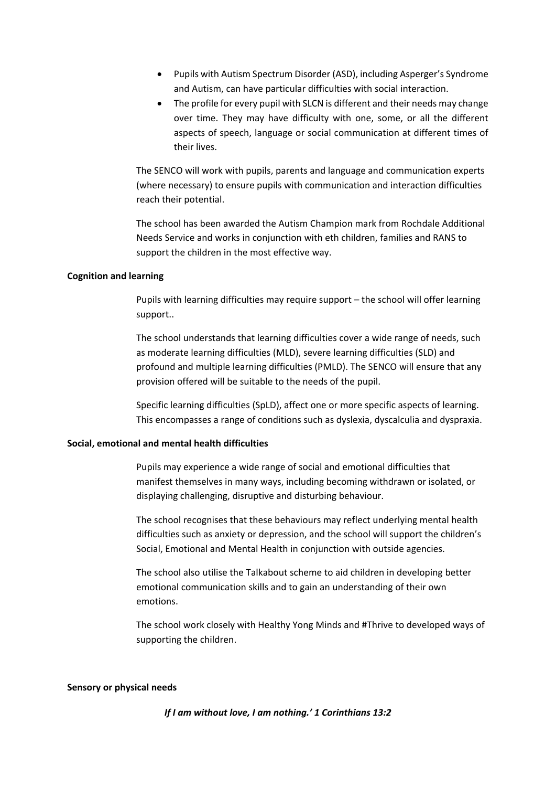- Pupils with Autism Spectrum Disorder (ASD), including Asperger's Syndrome and Autism, can have particular difficulties with social interaction.
- The profile for every pupil with SLCN is different and their needs may change over time. They may have difficulty with one, some, or all the different aspects of speech, language or social communication at different times of their lives.

The SENCO will work with pupils, parents and language and communication experts (where necessary) to ensure pupils with communication and interaction difficulties reach their potential.

The school has been awarded the Autism Champion mark from Rochdale Additional Needs Service and works in conjunction with eth children, families and RANS to support the children in the most effective way.

### **Cognition and learning**

Pupils with learning difficulties may require support – the school will offer learning support..

The school understands that learning difficulties cover a wide range of needs, such as moderate learning difficulties (MLD), severe learning difficulties (SLD) and profound and multiple learning difficulties (PMLD). The SENCO will ensure that any provision offered will be suitable to the needs of the pupil.

Specific learning difficulties (SpLD), affect one or more specific aspects of learning. This encompasses a range of conditions such as dyslexia, dyscalculia and dyspraxia.

### **Social, emotional and mental health difficulties**

Pupils may experience a wide range of social and emotional difficulties that manifest themselves in many ways, including becoming withdrawn or isolated, or displaying challenging, disruptive and disturbing behaviour.

The school recognises that these behaviours may reflect underlying mental health difficulties such as anxiety or depression, and the school will support the children's Social, Emotional and Mental Health in conjunction with outside agencies.

The school also utilise the Talkabout scheme to aid children in developing better emotional communication skills and to gain an understanding of their own emotions.

The school work closely with Healthy Yong Minds and #Thrive to developed ways of supporting the children.

### **Sensory or physical needs**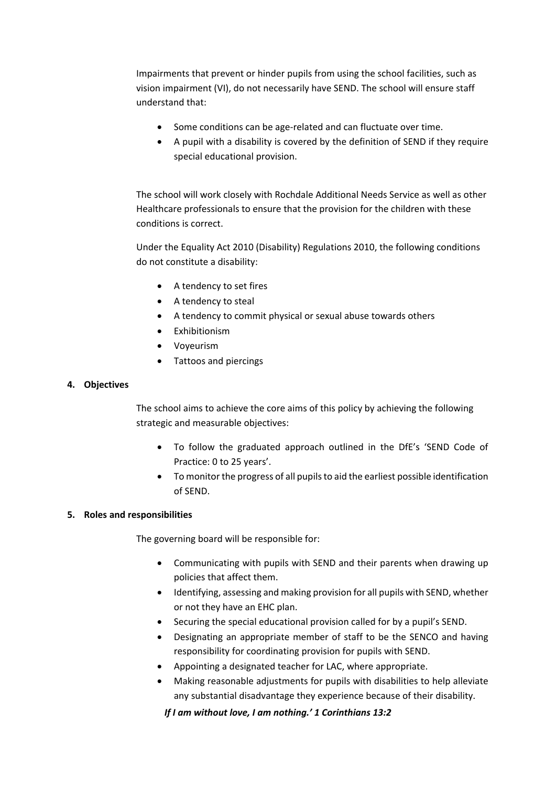Impairments that prevent or hinder pupils from using the school facilities, such as vision impairment (VI), do not necessarily have SEND. The school will ensure staff understand that:

- Some conditions can be age-related and can fluctuate over time.
- A pupil with a disability is covered by the definition of SEND if they require special educational provision.

The school will work closely with Rochdale Additional Needs Service as well as other Healthcare professionals to ensure that the provision for the children with these conditions is correct.

Under the Equality Act 2010 (Disability) Regulations 2010, the following conditions do not constitute a disability:

- A tendency to set fires
- A tendency to steal
- A tendency to commit physical or sexual abuse towards others
- Exhibitionism
- Voyeurism
- Tattoos and piercings

# <span id="page-7-0"></span>**4. Objectives**

The school aims to achieve the core aims of this policy by achieving the following strategic and measurable objectives:

- To follow the graduated approach outlined in the DfE's 'SEND Code of Practice: 0 to 25 years'.
- To monitor the progress of all pupils to aid the earliest possible identification of SEND.

# <span id="page-7-1"></span>**5. Roles and responsibilities**

The governing board will be responsible for:

- Communicating with pupils with SEND and their parents when drawing up policies that affect them.
- Identifying, assessing and making provision for all pupils with SEND, whether or not they have an EHC plan.
- Securing the special educational provision called for by a pupil's SEND.
- Designating an appropriate member of staff to be the SENCO and having responsibility for coordinating provision for pupils with SEND.
- Appointing a designated teacher for LAC, where appropriate.
- Making reasonable adjustments for pupils with disabilities to help alleviate any substantial disadvantage they experience because of their disability.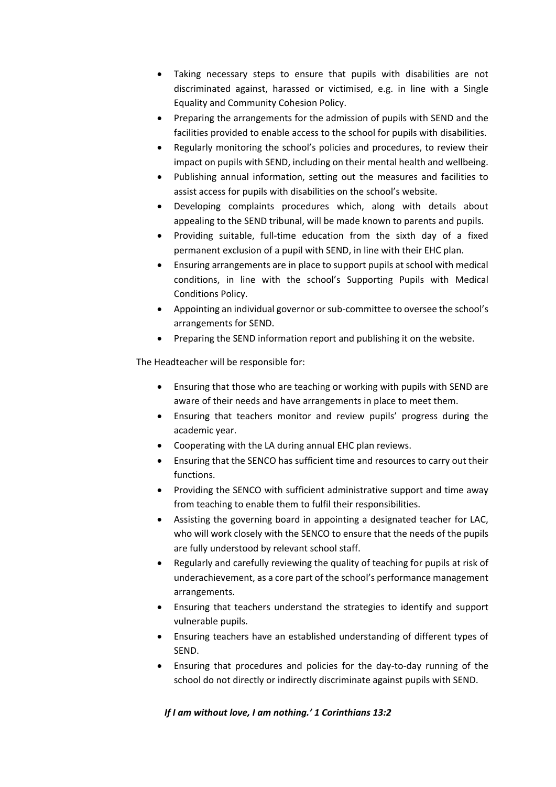- Taking necessary steps to ensure that pupils with disabilities are not discriminated against, harassed or victimised, e.g. in line with a Single Equality and Community Cohesion Policy.
- Preparing the arrangements for the admission of pupils with SEND and the facilities provided to enable access to the school for pupils with disabilities.
- Regularly monitoring the school's policies and procedures, to review their impact on pupils with SEND, including on their mental health and wellbeing.
- Publishing annual information, setting out the measures and facilities to assist access for pupils with disabilities on the school's website.
- Developing complaints procedures which, along with details about appealing to the SEND tribunal, will be made known to parents and pupils.
- Providing suitable, full-time education from the sixth day of a fixed permanent exclusion of a pupil with SEND, in line with their EHC plan.
- Ensuring arrangements are in place to support pupils at school with medical conditions, in line with the school's Supporting Pupils with Medical Conditions Policy.
- Appointing an individual governor or sub-committee to oversee the school's arrangements for SEND.
- Preparing the SEND information report and publishing it on the website.

The Headteacher will be responsible for:

- Ensuring that those who are teaching or working with pupils with SEND are aware of their needs and have arrangements in place to meet them.
- Ensuring that teachers monitor and review pupils' progress during the academic year.
- Cooperating with the LA during annual EHC plan reviews.
- Ensuring that the SENCO has sufficient time and resources to carry out their functions.
- Providing the SENCO with sufficient administrative support and time away from teaching to enable them to fulfil their responsibilities.
- Assisting the governing board in appointing a designated teacher for LAC, who will work closely with the SENCO to ensure that the needs of the pupils are fully understood by relevant school staff.
- Regularly and carefully reviewing the quality of teaching for pupils at risk of underachievement, as a core part of the school's performance management arrangements.
- Ensuring that teachers understand the strategies to identify and support vulnerable pupils.
- Ensuring teachers have an established understanding of different types of SEND.
- Ensuring that procedures and policies for the day-to-day running of the school do not directly or indirectly discriminate against pupils with SEND.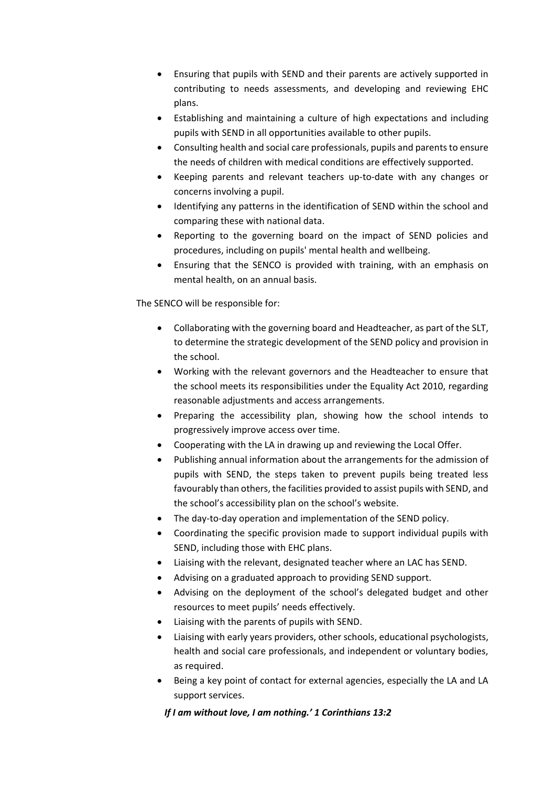- Ensuring that pupils with SEND and their parents are actively supported in contributing to needs assessments, and developing and reviewing EHC plans.
- Establishing and maintaining a culture of high expectations and including pupils with SEND in all opportunities available to other pupils.
- Consulting health and social care professionals, pupils and parents to ensure the needs of children with medical conditions are effectively supported.
- Keeping parents and relevant teachers up-to-date with any changes or concerns involving a pupil.
- Identifying any patterns in the identification of SEND within the school and comparing these with national data.
- Reporting to the governing board on the impact of SEND policies and procedures, including on pupils' mental health and wellbeing.
- Ensuring that the SENCO is provided with training, with an emphasis on mental health, on an annual basis.

The SENCO will be responsible for:

- Collaborating with the governing board and Headteacher, as part of the SLT, to determine the strategic development of the SEND policy and provision in the school.
- Working with the relevant governors and the Headteacher to ensure that the school meets its responsibilities under the Equality Act 2010, regarding reasonable adjustments and access arrangements.
- Preparing the accessibility plan, showing how the school intends to progressively improve access over time.
- Cooperating with the LA in drawing up and reviewing the Local Offer.
- Publishing annual information about the arrangements for the admission of pupils with SEND, the steps taken to prevent pupils being treated less favourably than others, the facilities provided to assist pupils with SEND, and the school's accessibility plan on the school's website.
- The day-to-day operation and implementation of the SEND policy.
- Coordinating the specific provision made to support individual pupils with SEND, including those with EHC plans.
- Liaising with the relevant, designated teacher where an LAC has SEND.
- Advising on a graduated approach to providing SEND support.
- Advising on the deployment of the school's delegated budget and other resources to meet pupils' needs effectively.
- Liaising with the parents of pupils with SEND.
- Liaising with early years providers, other schools, educational psychologists, health and social care professionals, and independent or voluntary bodies, as required.
- Being a key point of contact for external agencies, especially the LA and LA support services.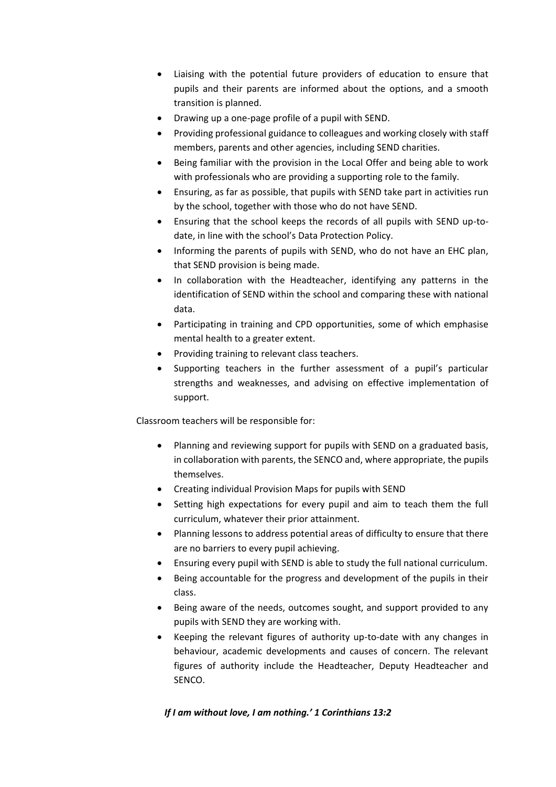- Liaising with the potential future providers of education to ensure that pupils and their parents are informed about the options, and a smooth transition is planned.
- Drawing up a one-page profile of a pupil with SEND.
- Providing professional guidance to colleagues and working closely with staff members, parents and other agencies, including SEND charities.
- Being familiar with the provision in the Local Offer and being able to work with professionals who are providing a supporting role to the family.
- Ensuring, as far as possible, that pupils with SEND take part in activities run by the school, together with those who do not have SEND.
- Ensuring that the school keeps the records of all pupils with SEND up-todate, in line with the school's Data Protection Policy.
- Informing the parents of pupils with SEND, who do not have an EHC plan, that SEND provision is being made.
- In collaboration with the Headteacher, identifying any patterns in the identification of SEND within the school and comparing these with national data.
- Participating in training and CPD opportunities, some of which emphasise mental health to a greater extent.
- Providing training to relevant class teachers.
- Supporting teachers in the further assessment of a pupil's particular strengths and weaknesses, and advising on effective implementation of support.

Classroom teachers will be responsible for:

- Planning and reviewing support for pupils with SEND on a graduated basis, in collaboration with parents, the SENCO and, where appropriate, the pupils themselves.
- Creating individual Provision Maps for pupils with SEND
- Setting high expectations for every pupil and aim to teach them the full curriculum, whatever their prior attainment.
- Planning lessons to address potential areas of difficulty to ensure that there are no barriers to every pupil achieving.
- Ensuring every pupil with SEND is able to study the full national curriculum.
- Being accountable for the progress and development of the pupils in their class.
- Being aware of the needs, outcomes sought, and support provided to any pupils with SEND they are working with.
- Keeping the relevant figures of authority up-to-date with any changes in behaviour, academic developments and causes of concern. The relevant figures of authority include the Headteacher, Deputy Headteacher and SENCO.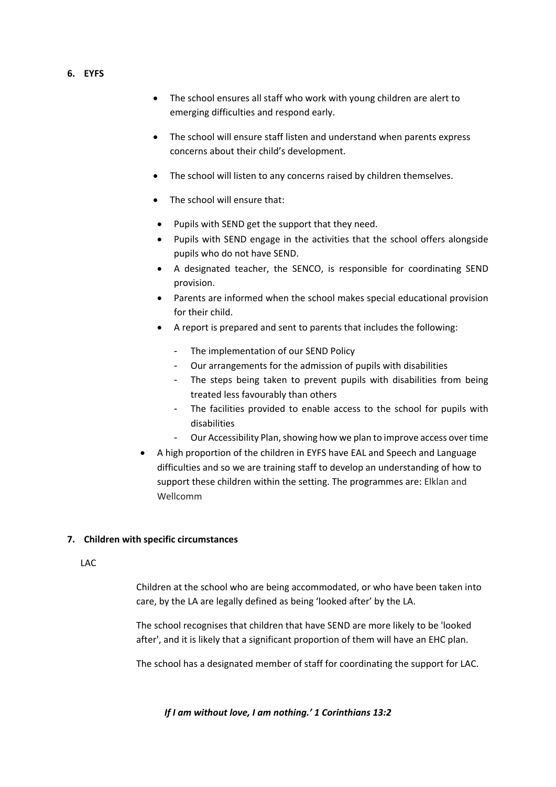- <span id="page-11-0"></span>**6. EYFS**
- The school ensures all staff who work with young children are alert to emerging difficulties and respond early.
- The school will ensure staff listen and understand when parents express concerns about their child's development.
- The school will listen to any concerns raised by children themselves.
- The school will ensure that:
- Pupils with SEND get the support that they need.
- Pupils with SEND engage in the activities that the school offers alongside pupils who do not have SEND.
- A designated teacher, the SENCO, is responsible for coordinating SEND provision.
- Parents are informed when the school makes special educational provision for their child.
- A report is prepared and sent to parents that includes the following:
	- The implementation of our SEND Policy
	- Our arrangements for the admission of pupils with disabilities
	- The steps being taken to prevent pupils with disabilities from being treated less favourably than others
	- The facilities provided to enable access to the school for pupils with disabilities
	- Our Accessibility Plan, showing how we plan to improve access over time
- A high proportion of the children in EYFS have EAL and Speech and Language difficulties and so we are training staff to develop an understanding of how to support these children within the setting. The programmes are: Elklan and Wellcomm

# <span id="page-11-1"></span>**7. Children with specific circumstances**

### LAC

Children at the school who are being accommodated, or who have been taken into care, by the LA are legally defined as being 'looked after' by the LA.

The school recognises that children that have SEND are more likely to be 'looked after', and it is likely that a significant proportion of them will have an EHC plan.

The school has a designated member of staff for coordinating the support for LAC.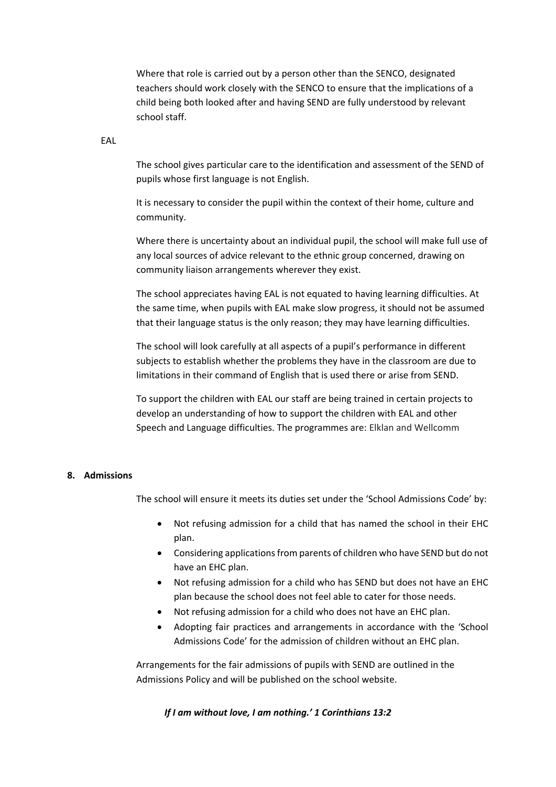Where that role is carried out by a person other than the SENCO, designated teachers should work closely with the SENCO to ensure that the implications of a child being both looked after and having SEND are fully understood by relevant school staff.

EAL

The school gives particular care to the identification and assessment of the SEND of pupils whose first language is not English.

It is necessary to consider the pupil within the context of their home, culture and community.

Where there is uncertainty about an individual pupil, the school will make full use of any local sources of advice relevant to the ethnic group concerned, drawing on community liaison arrangements wherever they exist.

The school appreciates having EAL is not equated to having learning difficulties. At the same time, when pupils with EAL make slow progress, it should not be assumed that their language status is the only reason; they may have learning difficulties.

The school will look carefully at all aspects of a pupil's performance in different subjects to establish whether the problems they have in the classroom are due to limitations in their command of English that is used there or arise from SEND.

To support the children with EAL our staff are being trained in certain projects to develop an understanding of how to support the children with EAL and other Speech and Language difficulties. The programmes are: Elklan and Wellcomm

# <span id="page-12-0"></span>**8. Admissions**

The school will ensure it meets its duties set under the 'School Admissions Code' by:

- Not refusing admission for a child that has named the school in their EHC plan.
- Considering applications from parents of children who have SEND but do not have an EHC plan.
- Not refusing admission for a child who has SEND but does not have an EHC plan because the school does not feel able to cater for those needs.
- Not refusing admission for a child who does not have an EHC plan.
- Adopting fair practices and arrangements in accordance with the 'School Admissions Code' for the admission of children without an EHC plan.

Arrangements for the fair admissions of pupils with SEND are outlined in the Admissions Policy and will be published on the school website.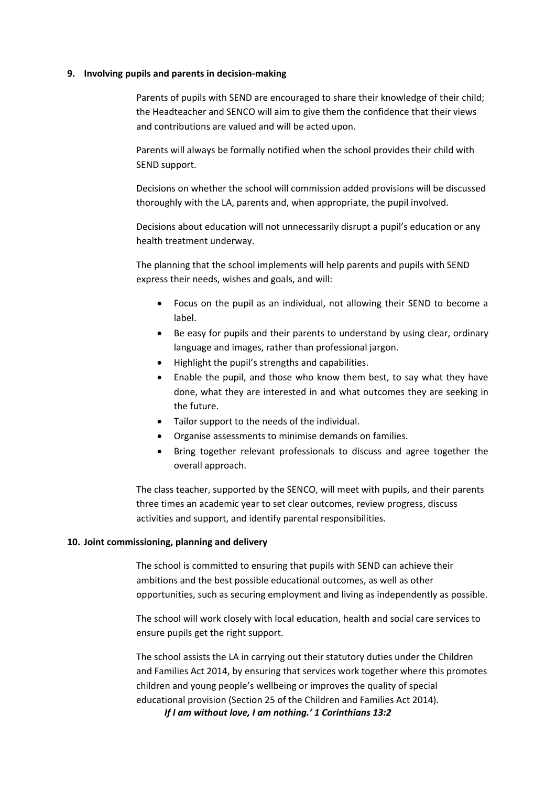### <span id="page-13-0"></span>**9. Involving pupils and parents in decision-making**

Parents of pupils with SEND are encouraged to share their knowledge of their child; the Headteacher and SENCO will aim to give them the confidence that their views and contributions are valued and will be acted upon.

Parents will always be formally notified when the school provides their child with SEND support.

Decisions on whether the school will commission added provisions will be discussed thoroughly with the LA, parents and, when appropriate, the pupil involved.

Decisions about education will not unnecessarily disrupt a pupil's education or any health treatment underway.

The planning that the school implements will help parents and pupils with SEND express their needs, wishes and goals, and will:

- Focus on the pupil as an individual, not allowing their SEND to become a label.
- Be easy for pupils and their parents to understand by using clear, ordinary language and images, rather than professional jargon.
- Highlight the pupil's strengths and capabilities.
- Enable the pupil, and those who know them best, to say what they have done, what they are interested in and what outcomes they are seeking in the future.
- Tailor support to the needs of the individual.
- Organise assessments to minimise demands on families.
- Bring together relevant professionals to discuss and agree together the overall approach.

The class teacher, supported by the SENCO, will meet with pupils, and their parents three times an academic year to set clear outcomes, review progress, discuss activities and support, and identify parental responsibilities.

# <span id="page-13-1"></span>**10. Joint commissioning, planning and delivery**

The school is committed to ensuring that pupils with SEND can achieve their ambitions and the best possible educational outcomes, as well as other opportunities, such as securing employment and living as independently as possible.

The school will work closely with local education, health and social care services to ensure pupils get the right support.

The school assists the LA in carrying out their statutory duties under the Children and Families Act 2014, by ensuring that services work together where this promotes children and young people's wellbeing or improves the quality of special educational provision (Section 25 of the Children and Families Act 2014).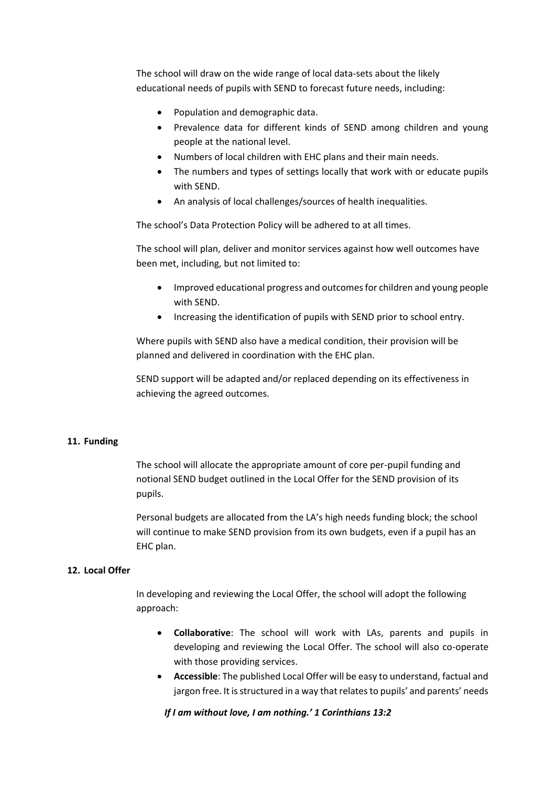The school will draw on the wide range of local data-sets about the likely educational needs of pupils with SEND to forecast future needs, including:

- Population and demographic data.
- Prevalence data for different kinds of SEND among children and young people at the national level.
- Numbers of local children with EHC plans and their main needs.
- The numbers and types of settings locally that work with or educate pupils with SEND.
- An analysis of local challenges/sources of health inequalities.

The school's Data Protection Policy will be adhered to at all times.

The school will plan, deliver and monitor services against how well outcomes have been met, including, but not limited to:

- Improved educational progress and outcomes for children and young people with SEND.
- Increasing the identification of pupils with SEND prior to school entry.

Where pupils with SEND also have a medical condition, their provision will be planned and delivered in coordination with the EHC plan.

SEND support will be adapted and/or replaced depending on its effectiveness in achieving the agreed outcomes.

### <span id="page-14-0"></span>**11. Funding**

The school will allocate the appropriate amount of core per-pupil funding and notional SEND budget outlined in the Local Offer for the SEND provision of its pupils.

Personal budgets are allocated from the LA's high needs funding block; the school will continue to make SEND provision from its own budgets, even if a pupil has an EHC plan.

# <span id="page-14-1"></span>**12. Local Offer**

In developing and reviewing the Local Offer, the school will adopt the following approach:

- **Collaborative**: The school will work with LAs, parents and pupils in developing and reviewing the Local Offer. The school will also co-operate with those providing services.
- **Accessible**: The published Local Offer will be easy to understand, factual and jargon free. It is structured in a way that relates to pupils' and parents' needs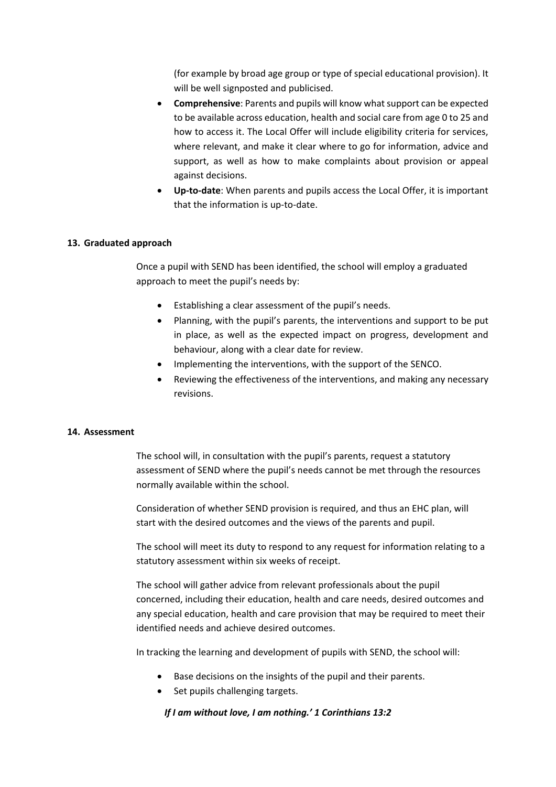(for example by broad age group or type of special educational provision). It will be well signposted and publicised.

- **Comprehensive**: Parents and pupils will know what support can be expected to be available across education, health and social care from age 0 to 25 and how to access it. The Local Offer will include eligibility criteria for services, where relevant, and make it clear where to go for information, advice and support, as well as how to make complaints about provision or appeal against decisions.
- **Up-to-date**: When parents and pupils access the Local Offer, it is important that the information is up-to-date.

# <span id="page-15-0"></span>**13. Graduated approach**

Once a pupil with SEND has been identified, the school will employ a graduated approach to meet the pupil's needs by:

- Establishing a clear assessment of the pupil's needs.
- Planning, with the pupil's parents, the interventions and support to be put in place, as well as the expected impact on progress, development and behaviour, along with a clear date for review.
- Implementing the interventions, with the support of the SENCO.
- Reviewing the effectiveness of the interventions, and making any necessary revisions.

# <span id="page-15-1"></span>**14. Assessment**

The school will, in consultation with the pupil's parents, request a statutory assessment of SEND where the pupil's needs cannot be met through the resources normally available within the school.

Consideration of whether SEND provision is required, and thus an EHC plan, will start with the desired outcomes and the views of the parents and pupil.

The school will meet its duty to respond to any request for information relating to a statutory assessment within six weeks of receipt.

The school will gather advice from relevant professionals about the pupil concerned, including their education, health and care needs, desired outcomes and any special education, health and care provision that may be required to meet their identified needs and achieve desired outcomes.

In tracking the learning and development of pupils with SEND, the school will:

- Base decisions on the insights of the pupil and their parents.
- Set pupils challenging targets.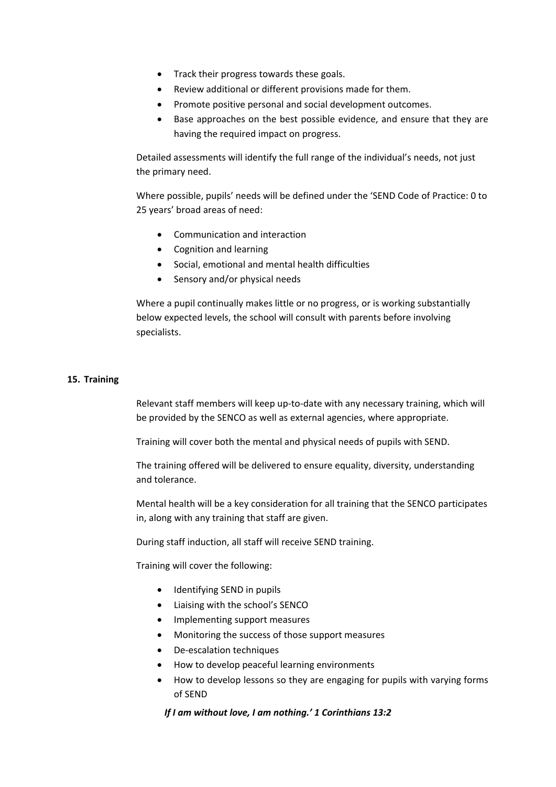- Track their progress towards these goals.
- Review additional or different provisions made for them.
- Promote positive personal and social development outcomes.
- Base approaches on the best possible evidence, and ensure that they are having the required impact on progress.

Detailed assessments will identify the full range of the individual's needs, not just the primary need.

Where possible, pupils' needs will be defined under the 'SEND Code of Practice: 0 to 25 years' broad areas of need:

- Communication and interaction
- Cognition and learning
- Social, emotional and mental health difficulties
- Sensory and/or physical needs

Where a pupil continually makes little or no progress, or is working substantially below expected levels, the school will consult with parents before involving specialists.

# <span id="page-16-0"></span>**15. Training**

Relevant staff members will keep up-to-date with any necessary training, which will be provided by the SENCO as well as external agencies, where appropriate.

Training will cover both the mental and physical needs of pupils with SEND.

The training offered will be delivered to ensure equality, diversity, understanding and tolerance.

Mental health will be a key consideration for all training that the SENCO participates in, along with any training that staff are given.

During staff induction, all staff will receive SEND training.

Training will cover the following:

- Identifying SEND in pupils
- Liaising with the school's SENCO
- Implementing support measures
- Monitoring the success of those support measures
- De-escalation techniques
- How to develop peaceful learning environments
- How to develop lessons so they are engaging for pupils with varying forms of SEND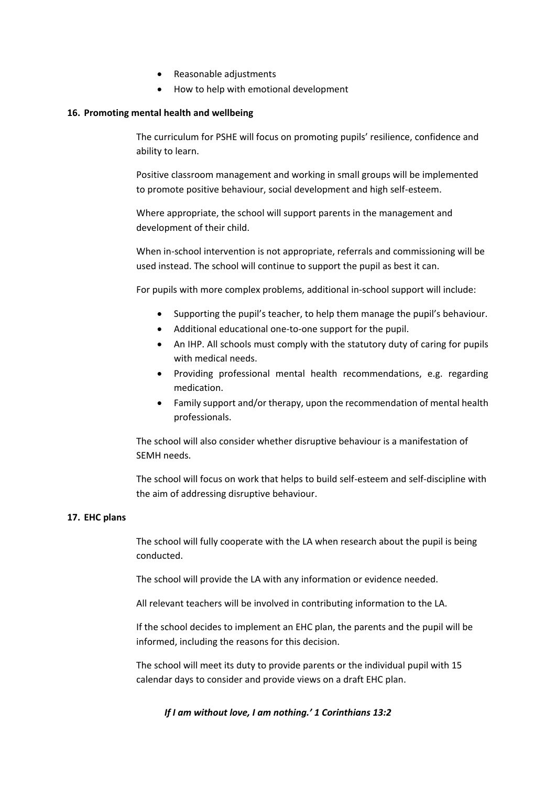- Reasonable adjustments
- How to help with emotional development

# <span id="page-17-0"></span>**16. Promoting mental health and wellbeing**

The curriculum for PSHE will focus on promoting pupils' resilience, confidence and ability to learn.

Positive classroom management and working in small groups will be implemented to promote positive behaviour, social development and high self-esteem.

Where appropriate, the school will support parents in the management and development of their child.

When in-school intervention is not appropriate, referrals and commissioning will be used instead. The school will continue to support the pupil as best it can.

For pupils with more complex problems, additional in-school support will include:

- Supporting the pupil's teacher, to help them manage the pupil's behaviour.
- Additional educational one-to-one support for the pupil.
- An IHP. All schools must comply with the statutory duty of caring for pupils with medical needs.
- Providing professional mental health recommendations, e.g. regarding medication.
- Family support and/or therapy, upon the recommendation of mental health professionals.

The school will also consider whether disruptive behaviour is a manifestation of SEMH needs.

The school will focus on work that helps to build self-esteem and self-discipline with the aim of addressing disruptive behaviour.

# <span id="page-17-1"></span>**17. EHC plans**

The school will fully cooperate with the LA when research about the pupil is being conducted.

The school will provide the LA with any information or evidence needed.

All relevant teachers will be involved in contributing information to the LA.

If the school decides to implement an EHC plan, the parents and the pupil will be informed, including the reasons for this decision.

The school will meet its duty to provide parents or the individual pupil with 15 calendar days to consider and provide views on a draft EHC plan.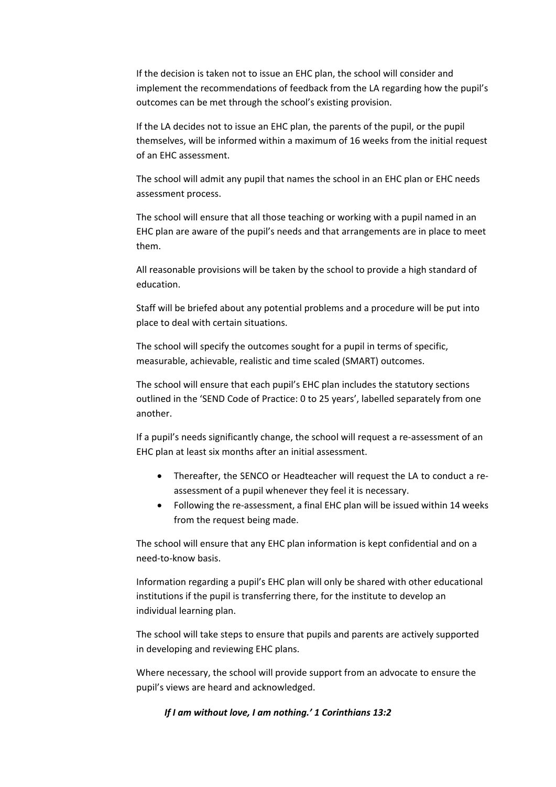If the decision is taken not to issue an EHC plan, the school will consider and implement the recommendations of feedback from the LA regarding how the pupil's outcomes can be met through the school's existing provision.

If the LA decides not to issue an EHC plan, the parents of the pupil, or the pupil themselves, will be informed within a maximum of 16 weeks from the initial request of an EHC assessment.

The school will admit any pupil that names the school in an EHC plan or EHC needs assessment process.

The school will ensure that all those teaching or working with a pupil named in an EHC plan are aware of the pupil's needs and that arrangements are in place to meet them.

All reasonable provisions will be taken by the school to provide a high standard of education.

Staff will be briefed about any potential problems and a procedure will be put into place to deal with certain situations.

The school will specify the outcomes sought for a pupil in terms of specific, measurable, achievable, realistic and time scaled (SMART) outcomes.

The school will ensure that each pupil's EHC plan includes the statutory sections outlined in the 'SEND Code of Practice: 0 to 25 years', labelled separately from one another.

If a pupil's needs significantly change, the school will request a re-assessment of an EHC plan at least six months after an initial assessment.

- Thereafter, the SENCO or Headteacher will request the LA to conduct a reassessment of a pupil whenever they feel it is necessary.
- Following the re-assessment, a final EHC plan will be issued within 14 weeks from the request being made.

The school will ensure that any EHC plan information is kept confidential and on a need-to-know basis.

Information regarding a pupil's EHC plan will only be shared with other educational institutions if the pupil is transferring there, for the institute to develop an individual learning plan.

The school will take steps to ensure that pupils and parents are actively supported in developing and reviewing EHC plans.

Where necessary, the school will provide support from an advocate to ensure the pupil's views are heard and acknowledged.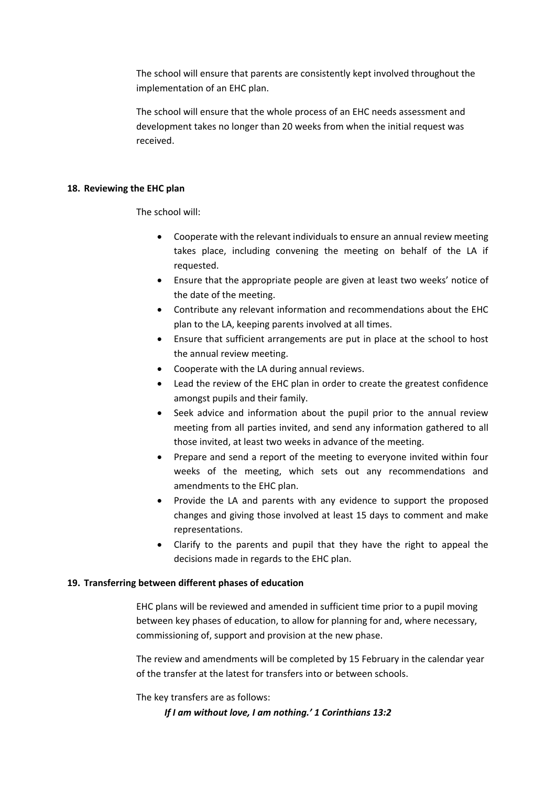The school will ensure that parents are consistently kept involved throughout the implementation of an EHC plan.

The school will ensure that the whole process of an EHC needs assessment and development takes no longer than 20 weeks from when the initial request was received.

# <span id="page-19-0"></span>**18. Reviewing the EHC plan**

The school will:

- Cooperate with the relevant individuals to ensure an annual review meeting takes place, including convening the meeting on behalf of the LA if requested.
- Ensure that the appropriate people are given at least two weeks' notice of the date of the meeting.
- Contribute any relevant information and recommendations about the EHC plan to the LA, keeping parents involved at all times.
- Ensure that sufficient arrangements are put in place at the school to host the annual review meeting.
- Cooperate with the LA during annual reviews.
- Lead the review of the EHC plan in order to create the greatest confidence amongst pupils and their family.
- Seek advice and information about the pupil prior to the annual review meeting from all parties invited, and send any information gathered to all those invited, at least two weeks in advance of the meeting.
- Prepare and send a report of the meeting to everyone invited within four weeks of the meeting, which sets out any recommendations and amendments to the EHC plan.
- Provide the LA and parents with any evidence to support the proposed changes and giving those involved at least 15 days to comment and make representations.
- Clarify to the parents and pupil that they have the right to appeal the decisions made in regards to the EHC plan.

# <span id="page-19-1"></span>**19. Transferring between different phases of education**

EHC plans will be reviewed and amended in sufficient time prior to a pupil moving between key phases of education, to allow for planning for and, where necessary, commissioning of, support and provision at the new phase.

The review and amendments will be completed by 15 February in the calendar year of the transfer at the latest for transfers into or between schools.

The key transfers are as follows: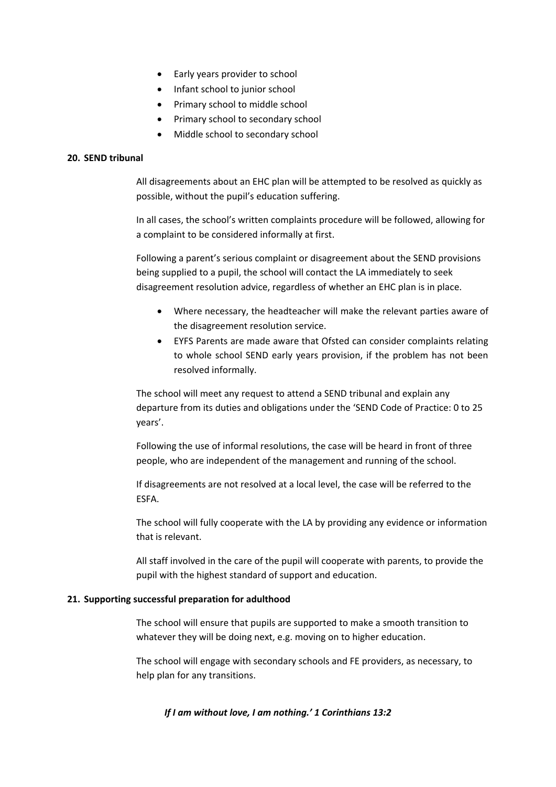- Early years provider to school
- Infant school to junior school
- Primary school to middle school
- Primary school to secondary school
- Middle school to secondary school

# <span id="page-20-0"></span>**20. SEND tribunal**

All disagreements about an EHC plan will be attempted to be resolved as quickly as possible, without the pupil's education suffering.

In all cases, the school's written complaints procedure will be followed, allowing for a complaint to be considered informally at first.

Following a parent's serious complaint or disagreement about the SEND provisions being supplied to a pupil, the school will contact the LA immediately to seek disagreement resolution advice, regardless of whether an EHC plan is in place.

- Where necessary, the headteacher will make the relevant parties aware of the disagreement resolution service.
- EYFS Parents are made aware that Ofsted can consider complaints relating to whole school SEND early years provision, if the problem has not been resolved informally.

The school will meet any request to attend a SEND tribunal and explain any departure from its duties and obligations under the 'SEND Code of Practice: 0 to 25 years'.

Following the use of informal resolutions, the case will be heard in front of three people, who are independent of the management and running of the school.

If disagreements are not resolved at a local level, the case will be referred to the ESFA.

The school will fully cooperate with the LA by providing any evidence or information that is relevant.

All staff involved in the care of the pupil will cooperate with parents, to provide the pupil with the highest standard of support and education.

# <span id="page-20-1"></span>**21. Supporting successful preparation for adulthood**

The school will ensure that pupils are supported to make a smooth transition to whatever they will be doing next, e.g. moving on to higher education.

The school will engage with secondary schools and FE providers, as necessary, to help plan for any transitions.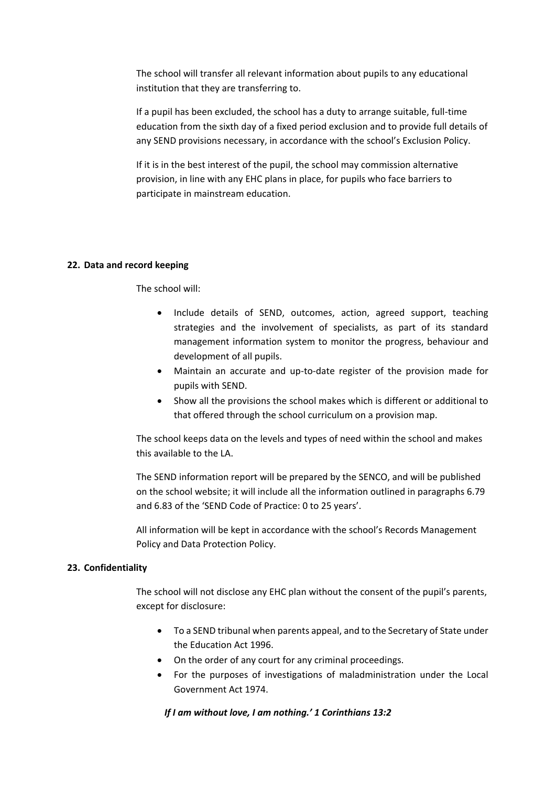The school will transfer all relevant information about pupils to any educational institution that they are transferring to.

If a pupil has been excluded, the school has a duty to arrange suitable, full-time education from the sixth day of a fixed period exclusion and to provide full details of any SEND provisions necessary, in accordance with the school's Exclusion Policy.

If it is in the best interest of the pupil, the school may commission alternative provision, in line with any EHC plans in place, for pupils who face barriers to participate in mainstream education.

# <span id="page-21-0"></span>**22. Data and record keeping**

The school will:

- Include details of SEND, outcomes, action, agreed support, teaching strategies and the involvement of specialists, as part of its standard management information system to monitor the progress, behaviour and development of all pupils.
- Maintain an accurate and up-to-date register of the provision made for pupils with SEND.
- Show all the provisions the school makes which is different or additional to that offered through the school curriculum on a provision map.

The school keeps data on the levels and types of need within the school and makes this available to the LA.

The SEND information report will be prepared by the SENCO, and will be published on the school website; it will include all the information outlined in paragraphs 6.79 and 6.83 of the 'SEND Code of Practice: 0 to 25 years'.

All information will be kept in accordance with the school's Records Management Policy and Data Protection Policy.

# <span id="page-21-1"></span>**23. Confidentiality**

The school will not disclose any EHC plan without the consent of the pupil's parents, except for disclosure:

- To a SEND tribunal when parents appeal, and to the Secretary of State under the Education Act 1996.
- On the order of any court for any criminal proceedings.
- For the purposes of investigations of maladministration under the Local Government Act 1974.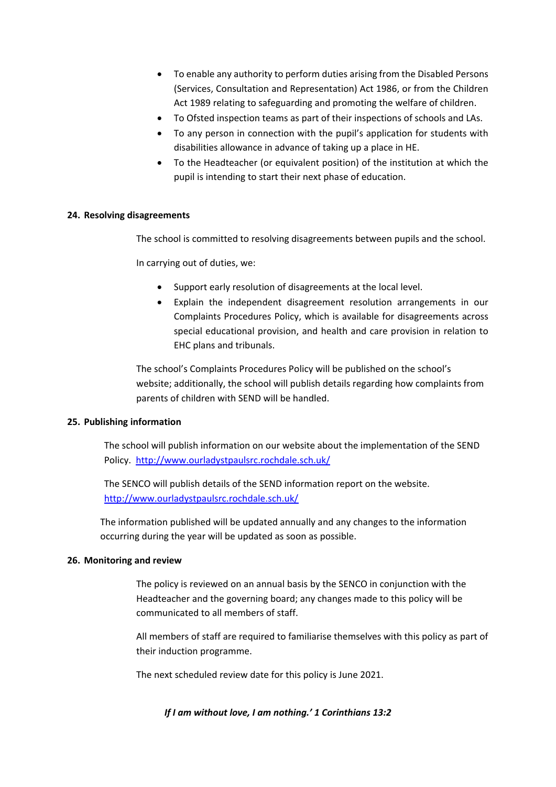- To enable any authority to perform duties arising from the Disabled Persons (Services, Consultation and Representation) Act 1986, or from the Children Act 1989 relating to safeguarding and promoting the welfare of children.
- To Ofsted inspection teams as part of their inspections of schools and LAs.
- To any person in connection with the pupil's application for students with disabilities allowance in advance of taking up a place in HE.
- To the Headteacher (or equivalent position) of the institution at which the pupil is intending to start their next phase of education.

# <span id="page-22-0"></span>**24. Resolving disagreements**

The school is committed to resolving disagreements between pupils and the school.

In carrying out of duties, we:

- Support early resolution of disagreements at the local level.
- Explain the independent disagreement resolution arrangements in our Complaints Procedures Policy, which is available for disagreements across special educational provision, and health and care provision in relation to EHC plans and tribunals.

The school's Complaints Procedures Policy will be published on the school's website; additionally, the school will publish details regarding how complaints from parents of children with SEND will be handled.

# <span id="page-22-1"></span>**25. Publishing information**

The school will publish information on our website about the implementation of the SEND Policy.<http://www.ourladystpaulsrc.rochdale.sch.uk/>

The SENCO will publish details of the SEND information report on the website. <http://www.ourladystpaulsrc.rochdale.sch.uk/>

The information published will be updated annually and any changes to the information occurring during the year will be updated as soon as possible.

# <span id="page-22-2"></span>**26. Monitoring and review**

The policy is reviewed on an annual basis by the SENCO in conjunction with the Headteacher and the governing board; any changes made to this policy will be communicated to all members of staff.

All members of staff are required to familiarise themselves with this policy as part of their induction programme.

The next scheduled review date for this policy is June 2021.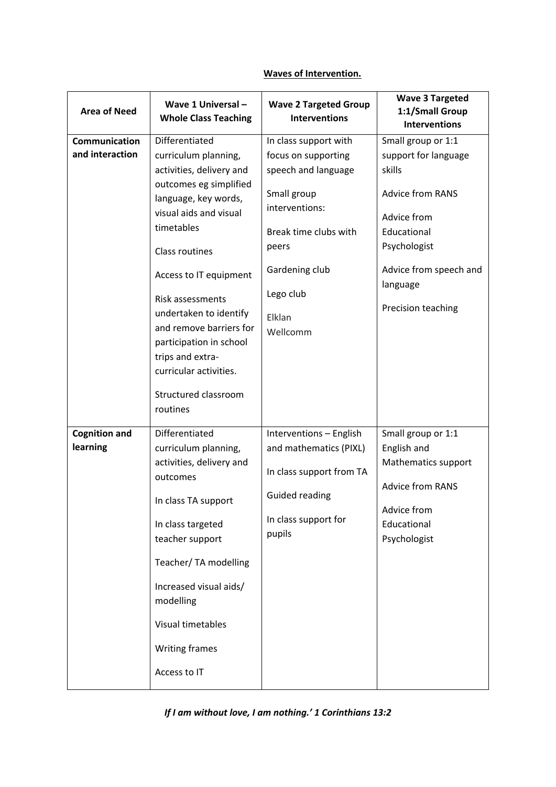# **Waves of Intervention.**

| <b>Area of Need</b>              | Wave 1 Universal -<br><b>Whole Class Teaching</b>                                                                                                                                                                                                                                                                                                                 | <b>Wave 2 Targeted Group</b><br><b>Interventions</b>                                                                                                                                        | <b>Wave 3 Targeted</b><br>1:1/Small Group<br><b>Interventions</b>                                                                                                                         |
|----------------------------------|-------------------------------------------------------------------------------------------------------------------------------------------------------------------------------------------------------------------------------------------------------------------------------------------------------------------------------------------------------------------|---------------------------------------------------------------------------------------------------------------------------------------------------------------------------------------------|-------------------------------------------------------------------------------------------------------------------------------------------------------------------------------------------|
| Communication<br>and interaction | Differentiated<br>curriculum planning,<br>activities, delivery and<br>outcomes eg simplified<br>language, key words,<br>visual aids and visual<br>timetables<br>Class routines<br>Access to IT equipment<br><b>Risk assessments</b><br>undertaken to identify<br>and remove barriers for<br>participation in school<br>trips and extra-<br>curricular activities. | In class support with<br>focus on supporting<br>speech and language<br>Small group<br>interventions:<br>Break time clubs with<br>peers<br>Gardening club<br>Lego club<br>Elklan<br>Wellcomm | Small group or 1:1<br>support for language<br>skills<br><b>Advice from RANS</b><br>Advice from<br>Educational<br>Psychologist<br>Advice from speech and<br>language<br>Precision teaching |
|                                  | Structured classroom<br>routines                                                                                                                                                                                                                                                                                                                                  |                                                                                                                                                                                             |                                                                                                                                                                                           |
| <b>Cognition and</b><br>learning | Differentiated<br>curriculum planning,<br>activities, delivery and<br>outcomes<br>In class TA support<br>In class targeted<br>teacher support<br>Teacher/ TA modelling<br>Increased visual aids/<br>modelling<br>Visual timetables<br><b>Writing frames</b><br>Access to IT                                                                                       | Interventions - English<br>and mathematics (PIXL)<br>In class support from TA<br><b>Guided reading</b><br>In class support for<br>pupils                                                    | Small group or 1:1<br>English and<br>Mathematics support<br><b>Advice from RANS</b><br>Advice from<br>Educational<br>Psychologist                                                         |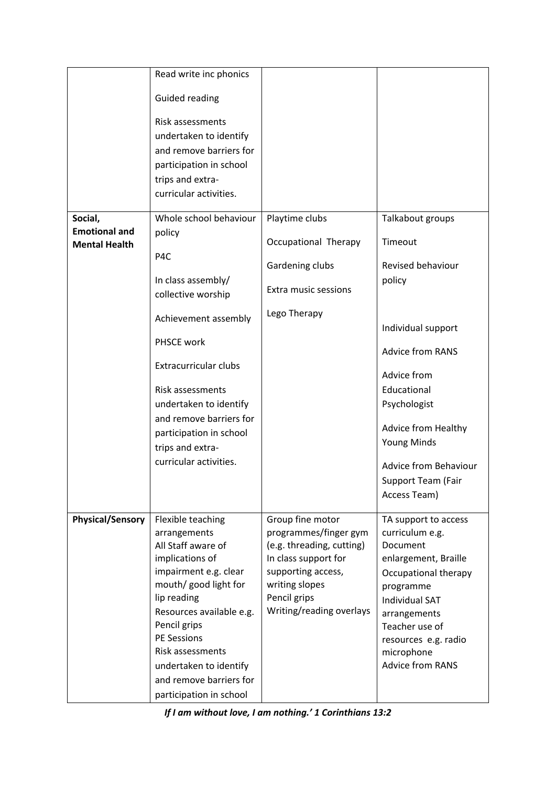|                                                         | Read write inc phonics                                                                                                                                                                                                                                                                                                   |                                                                                                                                                                                    |                                                                                                                                                                                                                                                                                     |
|---------------------------------------------------------|--------------------------------------------------------------------------------------------------------------------------------------------------------------------------------------------------------------------------------------------------------------------------------------------------------------------------|------------------------------------------------------------------------------------------------------------------------------------------------------------------------------------|-------------------------------------------------------------------------------------------------------------------------------------------------------------------------------------------------------------------------------------------------------------------------------------|
|                                                         | <b>Guided reading</b><br>Risk assessments<br>undertaken to identify<br>and remove barriers for<br>participation in school<br>trips and extra-                                                                                                                                                                            |                                                                                                                                                                                    |                                                                                                                                                                                                                                                                                     |
|                                                         | curricular activities.                                                                                                                                                                                                                                                                                                   |                                                                                                                                                                                    |                                                                                                                                                                                                                                                                                     |
| Social,<br><b>Emotional and</b><br><b>Mental Health</b> | Whole school behaviour<br>policy<br>P <sub>4</sub> C<br>In class assembly/<br>collective worship<br>Achievement assembly<br>PHSCE work<br><b>Extracurricular clubs</b><br>Risk assessments<br>undertaken to identify<br>and remove barriers for<br>participation in school<br>trips and extra-<br>curricular activities. | Playtime clubs<br>Occupational Therapy<br>Gardening clubs<br>Extra music sessions<br>Lego Therapy                                                                                  | Talkabout groups<br>Timeout<br>Revised behaviour<br>policy<br>Individual support<br><b>Advice from RANS</b><br>Advice from<br>Educational<br>Psychologist<br><b>Advice from Healthy</b><br>Young Minds<br><b>Advice from Behaviour</b><br><b>Support Team (Fair</b><br>Access Team) |
| <b>Physical/Sensory</b>                                 | Flexible teaching<br>arrangements<br>All Staff aware of<br>implications of<br>impairment e.g. clear<br>mouth/ good light for<br>lip reading<br>Resources available e.g.<br>Pencil grips<br><b>PE Sessions</b><br>Risk assessments<br>undertaken to identify<br>and remove barriers for<br>participation in school        | Group fine motor<br>programmes/finger gym<br>(e.g. threading, cutting)<br>In class support for<br>supporting access,<br>writing slopes<br>Pencil grips<br>Writing/reading overlays | TA support to access<br>curriculum e.g.<br>Document<br>enlargement, Braille<br>Occupational therapy<br>programme<br><b>Individual SAT</b><br>arrangements<br>Teacher use of<br>resources e.g. radio<br>microphone<br><b>Advice from RANS</b>                                        |